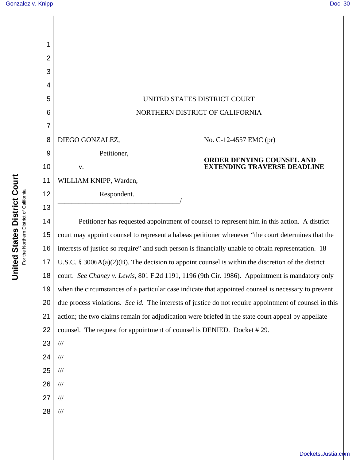| 1  |                                                                                                        |
|----|--------------------------------------------------------------------------------------------------------|
| 2  |                                                                                                        |
| 3  |                                                                                                        |
| 4  |                                                                                                        |
| 5  | UNITED STATES DISTRICT COURT                                                                           |
| 6  | NORTHERN DISTRICT OF CALIFORNIA                                                                        |
| 7  |                                                                                                        |
| 8  | DIEGO GONZALEZ,<br>No. C-12-4557 EMC (pr)                                                              |
| 9  | Petitioner,                                                                                            |
| 10 | ORDER DENYING COUNSEL AND<br><b>EXTENDING TRAVERSE DEADLINE</b><br>V.                                  |
| 11 | WILLIAM KNIPP, Warden,                                                                                 |
| 12 | Respondent.                                                                                            |
| 13 |                                                                                                        |
| 14 | Petitioner has requested appointment of counsel to represent him in this action. A district            |
| 15 | court may appoint counsel to represent a habeas petitioner whenever "the court determines that the     |
| 16 | interests of justice so require" and such person is financially unable to obtain representation. 18    |
| 17 | U.S.C. § 3006A(a)(2)(B). The decision to appoint counsel is within the discretion of the district      |
| 18 | court. See Chaney v. Lewis, 801 F.2d 1191, 1196 (9th Cir. 1986). Appointment is mandatory only         |
| 19 | when the circumstances of a particular case indicate that appointed counsel is necessary to prevent    |
| 20 | due process violations. See id. The interests of justice do not require appointment of counsel in this |
| 21 | action; the two claims remain for adjudication were briefed in the state court appeal by appellate     |
| 22 | counsel. The request for appointment of counsel is DENIED. Docket #29.                                 |
| 23 | $/ \! / \! /$                                                                                          |
| 24 | $\frac{1}{1}$                                                                                          |
| 25 | $\frac{1}{1}$                                                                                          |
| 26 | $\frac{1}{1}$                                                                                          |
| 27 | $\frac{1}{1}$                                                                                          |
| 28 | $\frac{1}{1}$                                                                                          |
|    |                                                                                                        |